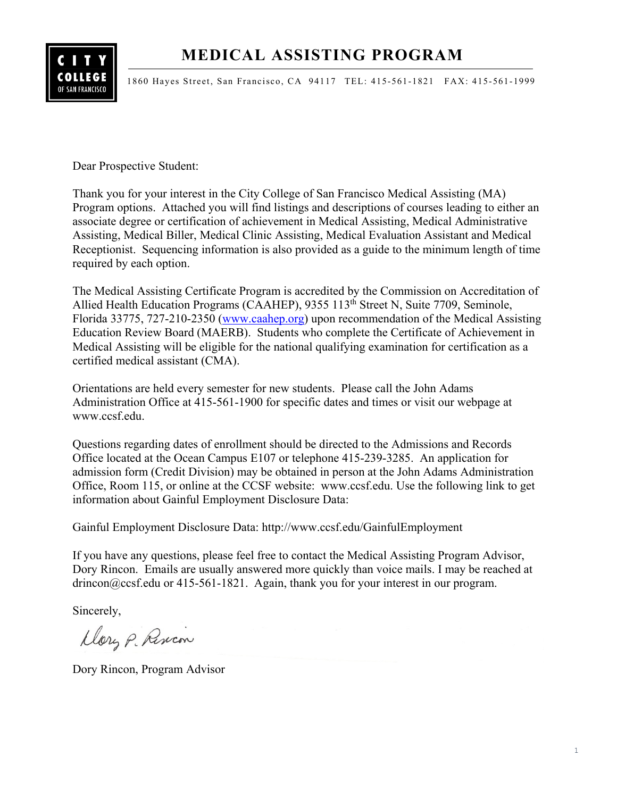# **MEDICAL ASSISTING PROGRAM**



1860 Hayes Street, San Francisco, CA 94117 TEL: 415-561-1821 FAX: 415-561-1999

Dear Prospective Student:

Thank you for your interest in the City College of San Francisco Medical Assisting (MA) Program options. Attached you will find listings and descriptions of courses leading to either an associate degree or certification of achievement in Medical Assisting, Medical Administrative Assisting, Medical Biller, Medical Clinic Assisting, Medical Evaluation Assistant and Medical Receptionist. Sequencing information is also provided as a guide to the minimum length of time required by each option.

The Medical Assisting Certificate Program is accredited by the Commission on Accreditation of Allied Health Education Programs (CAAHEP), 9355 113<sup>th</sup> Street N, Suite 7709, Seminole, Florida 33775, 727-210-2350 [\(www.caahep.org\)](http://www.caahep.org/) upon recommendation of the Medical Assisting Education Review Board (MAERB). Students who complete the Certificate of Achievement in Medical Assisting will be eligible for the national qualifying examination for certification as a certified medical assistant (CMA).

Orientations are held every semester for new students. Please call the John Adams Administration Office at 415-561-1900 for specific dates and times or visit our webpage at www.ccsf.edu.

Questions regarding dates of enrollment should be directed to the Admissions and Records Office located at the Ocean Campus E107 or telephone 415-239-3285. An application for admission form (Credit Division) may be obtained in person at the John Adams Administration Office, Room 115, or online at the CCSF website: www.ccsf.edu. Use the following link to get information about Gainful Employment Disclosure Data:

Gainful Employment Disclosure Data: http://www.ccsf.edu/GainfulEmployment

If you have any questions, please feel free to contact the Medical Assisting Program Advisor, Dory Rincon. Emails are usually answered more quickly than voice mails. I may be reached at drincon@ccsf.edu or 415-561-1821. Again, thank you for your interest in our program.

Sincerely,

Dory P. Rincon

Dory Rincon, Program Advisor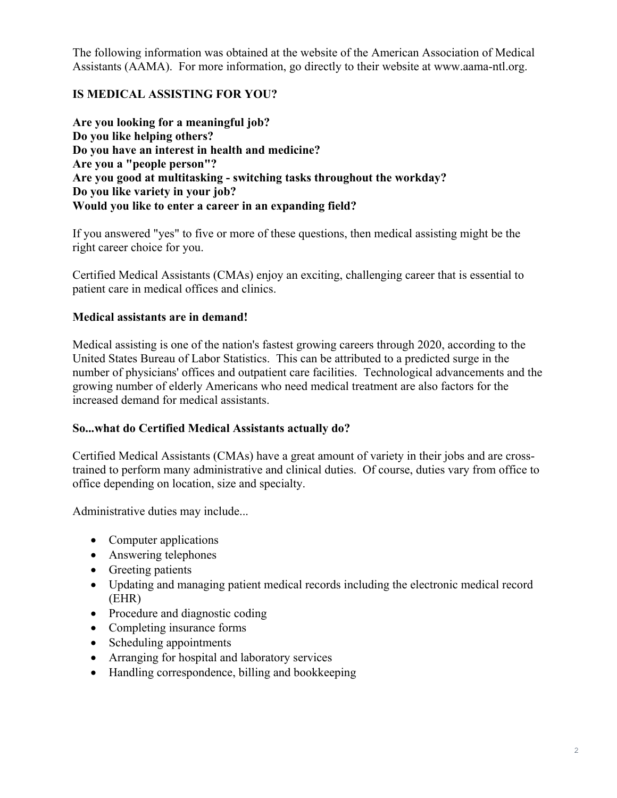The following information was obtained at the website of the American Association of Medical Assistants (AAMA). For more information, go directly to their website at www.aama-ntl.org.

# **IS MEDICAL ASSISTING FOR YOU?**

**Are you looking for a meaningful job? Do you like helping others? Do you have an interest in health and medicine? Are you a "people person"? Are you good at multitasking - switching tasks throughout the workday? Do you like variety in your job? Would you like to enter a career in an expanding field?**

If you answered "yes" to five or more of these questions, then medical assisting might be the right career choice for you.

Certified Medical Assistants (CMAs) enjoy an exciting, challenging career that is essential to patient care in medical offices and clinics.

### **Medical assistants are in demand!**

Medical assisting is one of the nation's fastest growing careers through 2020, according to the United States Bureau of Labor Statistics. This can be attributed to a predicted surge in the number of physicians' offices and outpatient care facilities. Technological advancements and the growing number of elderly Americans who need medical treatment are also factors for the increased demand for medical assistants.

#### **So...what do Certified Medical Assistants actually do?**

Certified Medical Assistants (CMAs) have a great amount of variety in their jobs and are crosstrained to perform many administrative and clinical duties. Of course, duties vary from office to office depending on location, size and specialty.

Administrative duties may include...

- Computer applications
- Answering telephones
- Greeting patients
- Updating and managing patient medical records including the electronic medical record (EHR)
- Procedure and diagnostic coding
- Completing insurance forms
- Scheduling appointments
- Arranging for hospital and laboratory services
- Handling correspondence, billing and bookkeeping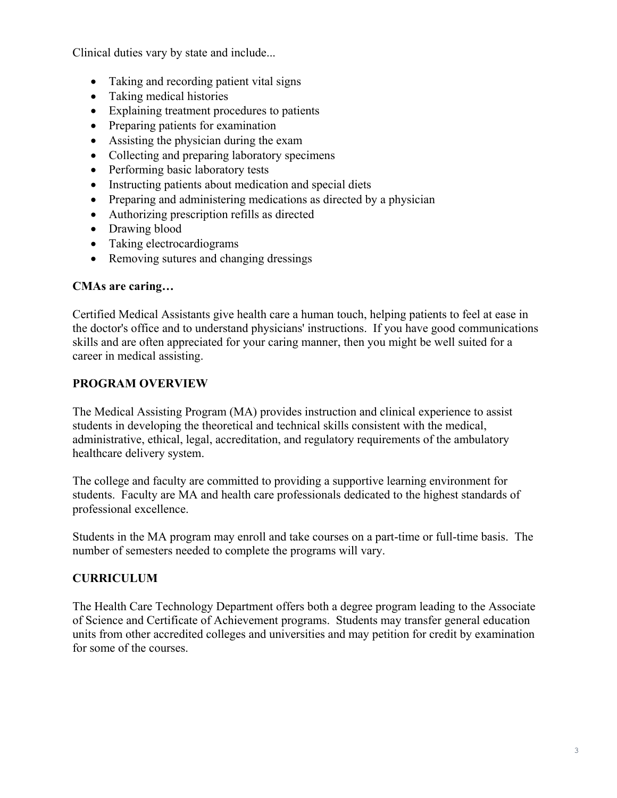Clinical duties vary by state and include...

- Taking and recording patient vital signs
- Taking medical histories
- Explaining treatment procedures to patients
- Preparing patients for examination
- Assisting the physician during the exam
- Collecting and preparing laboratory specimens
- Performing basic laboratory tests
- Instructing patients about medication and special diets
- Preparing and administering medications as directed by a physician
- Authorizing prescription refills as directed
- Drawing blood
- Taking electrocardiograms
- Removing sutures and changing dressings

## **CMAs are caring…**

Certified Medical Assistants give health care a human touch, helping patients to feel at ease in the doctor's office and to understand physicians' instructions. If you have good communications skills and are often appreciated for your caring manner, then you might be well suited for a career in medical assisting.

# **PROGRAM OVERVIEW**

The Medical Assisting Program (MA) provides instruction and clinical experience to assist students in developing the theoretical and technical skills consistent with the medical, administrative, ethical, legal, accreditation, and regulatory requirements of the ambulatory healthcare delivery system.

The college and faculty are committed to providing a supportive learning environment for students. Faculty are MA and health care professionals dedicated to the highest standards of professional excellence.

Students in the MA program may enroll and take courses on a part-time or full-time basis. The number of semesters needed to complete the programs will vary.

# **CURRICULUM**

The Health Care Technology Department offers both a degree program leading to the Associate of Science and Certificate of Achievement programs. Students may transfer general education units from other accredited colleges and universities and may petition for credit by examination for some of the courses.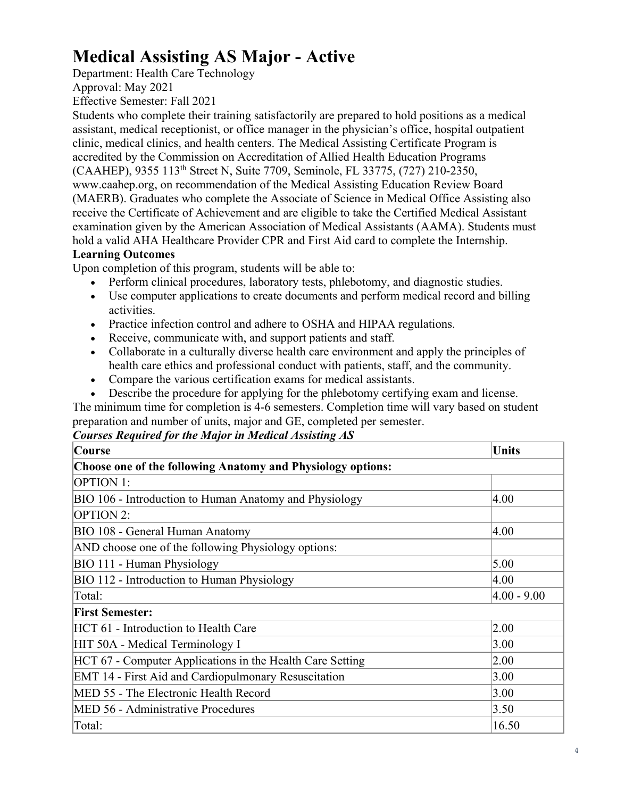# **Medical Assisting AS Major - Active**

Department: Health Care Technology

Approval: May 2021

Effective Semester: Fall 2021

Students who complete their training satisfactorily are prepared to hold positions as a medical assistant, medical receptionist, or office manager in the physician's office, hospital outpatient clinic, medical clinics, and health centers. The Medical Assisting Certificate Program is accredited by the Commission on Accreditation of Allied Health Education Programs (CAAHEP), 9355 113th Street N, Suite 7709, Seminole, FL 33775, (727) 210-2350, www.caahep.org, on recommendation of the Medical Assisting Education Review Board (MAERB). Graduates who complete the Associate of Science in Medical Office Assisting also receive the Certificate of Achievement and are eligible to take the Certified Medical Assistant examination given by the American Association of Medical Assistants (AAMA). Students must hold a valid AHA Healthcare Provider CPR and First Aid card to complete the Internship.

# **Learning Outcomes**

Upon completion of this program, students will be able to:

- Perform clinical procedures, laboratory tests, phlebotomy, and diagnostic studies.
- Use computer applications to create documents and perform medical record and billing activities.
- Practice infection control and adhere to OSHA and HIPAA regulations.
- Receive, communicate with, and support patients and staff.
- Collaborate in a culturally diverse health care environment and apply the principles of health care ethics and professional conduct with patients, staff, and the community.
- Compare the various certification exams for medical assistants.
- Describe the procedure for applying for the phlebotomy certifying exam and license.

The minimum time for completion is 4-6 semesters. Completion time will vary based on student preparation and number of units, major and GE, completed per semester.

*Courses Required for the Major in Medical Assisting AS*

| Course                                                      | Units           |
|-------------------------------------------------------------|-----------------|
| Choose one of the following Anatomy and Physiology options: |                 |
| <b>OPTION 1:</b>                                            |                 |
| BIO 106 - Introduction to Human Anatomy and Physiology      | 4.00            |
| <b>OPTION 2:</b>                                            |                 |
| BIO 108 - General Human Anatomy                             | 4.00            |
| AND choose one of the following Physiology options:         |                 |
| BIO 111 - Human Physiology                                  | 5.00            |
| BIO 112 - Introduction to Human Physiology                  | 4.00            |
| Total:                                                      | $ 4.00 - 9.00 $ |
| <b>First Semester:</b>                                      |                 |
| HCT 61 - Introduction to Health Care                        | 2.00            |
| HIT 50A - Medical Terminology I                             | 3.00            |
| HCT 67 - Computer Applications in the Health Care Setting   | 2.00            |
| EMT 14 - First Aid and Cardiopulmonary Resuscitation        | 3.00            |
| MED 55 - The Electronic Health Record                       | 3.00            |
| MED 56 - Administrative Procedures                          | 3.50            |
| Total:                                                      | 16.50           |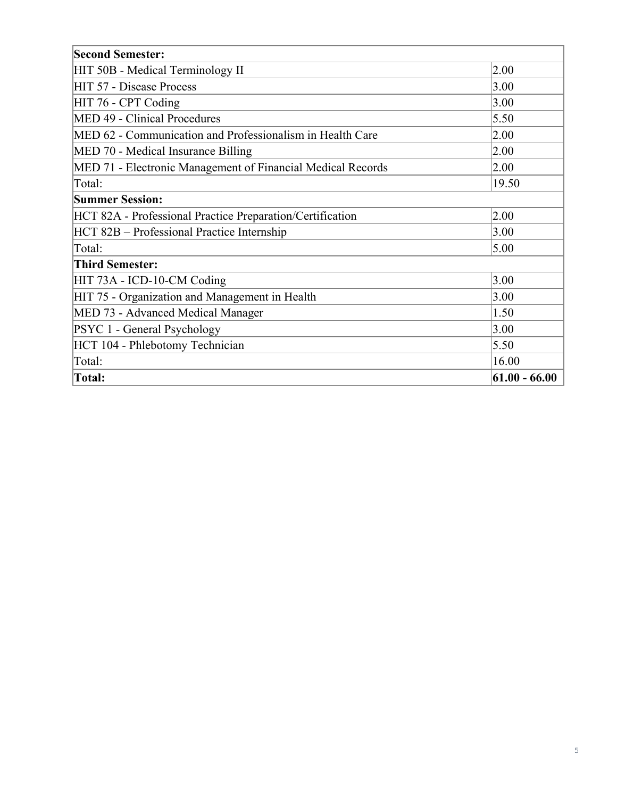| <b>Second Semester:</b>                                     |                 |
|-------------------------------------------------------------|-----------------|
| HIT 50B - Medical Terminology II                            | 2.00            |
| HIT 57 - Disease Process                                    | 3.00            |
| HIT 76 - CPT Coding                                         | 3.00            |
| MED 49 - Clinical Procedures                                | 5.50            |
| MED 62 - Communication and Professionalism in Health Care   | 2.00            |
| MED 70 - Medical Insurance Billing                          | 2.00            |
| MED 71 - Electronic Management of Financial Medical Records | 2.00            |
| Total:                                                      | 19.50           |
| <b>Summer Session:</b>                                      |                 |
| HCT 82A - Professional Practice Preparation/Certification   | 2.00            |
| HCT 82B – Professional Practice Internship                  | 3.00            |
| Total:                                                      | 5.00            |
| <b>Third Semester:</b>                                      |                 |
| HIT 73A - ICD-10-CM Coding                                  | 3.00            |
| HIT 75 - Organization and Management in Health              | 3.00            |
| MED 73 - Advanced Medical Manager                           | 1.50            |
| PSYC 1 - General Psychology                                 | 3.00            |
| HCT 104 - Phlebotomy Technician                             | 5.50            |
| Total:                                                      | 16.00           |
| <b>Total:</b>                                               | $61.00 - 66.00$ |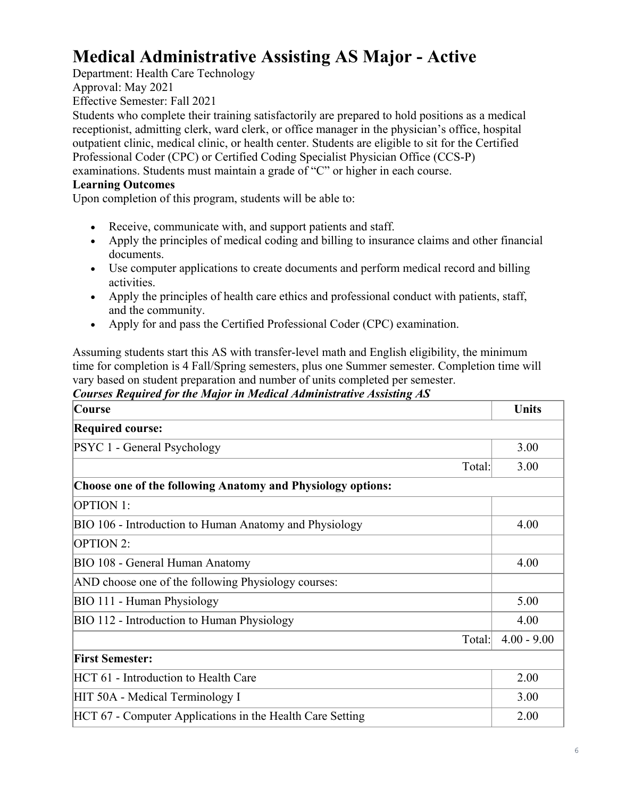# **Medical Administrative Assisting AS Major - Active**

Department: Health Care Technology Approval: May 2021

Effective Semester: Fall 2021

Students who complete their training satisfactorily are prepared to hold positions as a medical receptionist, admitting clerk, ward clerk, or office manager in the physician's office, hospital outpatient clinic, medical clinic, or health center. Students are eligible to sit for the Certified Professional Coder (CPC) or Certified Coding Specialist Physician Office (CCS-P) examinations. Students must maintain a grade of "C" or higher in each course.

## **Learning Outcomes**

Upon completion of this program, students will be able to:

- Receive, communicate with, and support patients and staff.
- Apply the principles of medical coding and billing to insurance claims and other financial documents.
- Use computer applications to create documents and perform medical record and billing activities.
- Apply the principles of health care ethics and professional conduct with patients, staff, and the community.
- Apply for and pass the Certified Professional Coder (CPC) examination.

Assuming students start this AS with transfer‐level math and English eligibility, the minimum time for completion is 4 Fall/Spring semesters, plus one Summer semester. Completion time will vary based on student preparation and number of units completed per semester.

*Courses Required for the Major in Medical Administrative Assisting AS*

| Course                                                      | Units         |
|-------------------------------------------------------------|---------------|
| <b>Required course:</b>                                     |               |
| PSYC 1 - General Psychology                                 | 3.00          |
| Total:                                                      | 3.00          |
| Choose one of the following Anatomy and Physiology options: |               |
| <b>OPTION 1:</b>                                            |               |
| BIO 106 - Introduction to Human Anatomy and Physiology      | 4.00          |
| OPTION 2:                                                   |               |
| BIO 108 - General Human Anatomy                             | 4.00          |
| AND choose one of the following Physiology courses:         |               |
| BIO 111 - Human Physiology                                  | 5.00          |
| BIO 112 - Introduction to Human Physiology                  | 4.00          |
| Total:                                                      | $4.00 - 9.00$ |
| <b>First Semester:</b>                                      |               |
| HCT 61 - Introduction to Health Care                        | 2.00          |
| HIT 50A - Medical Terminology I                             | 3.00          |
| HCT 67 - Computer Applications in the Health Care Setting   | 2.00          |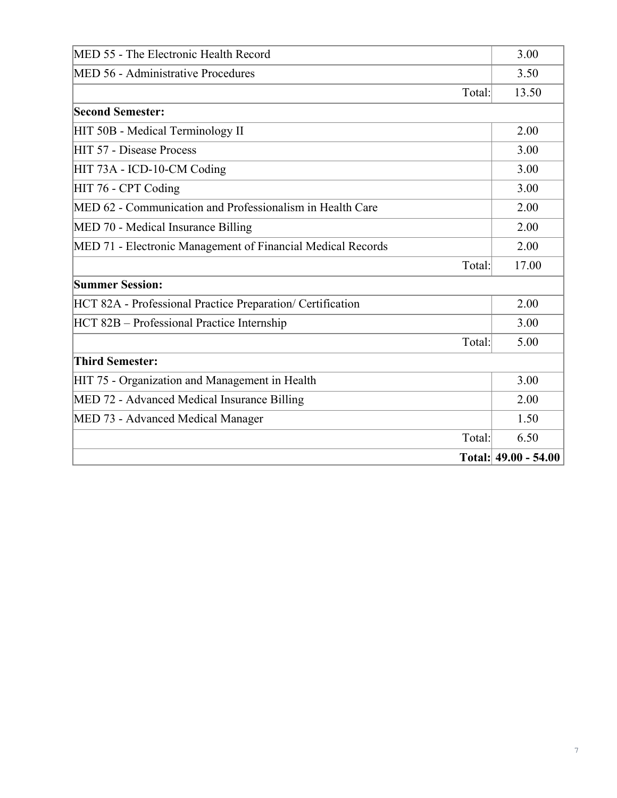| MED 55 - The Electronic Health Record                       | 3.00                 |
|-------------------------------------------------------------|----------------------|
| MED 56 - Administrative Procedures                          | 3.50                 |
| Total:                                                      | 13.50                |
| <b>Second Semester:</b>                                     |                      |
| HIT 50B - Medical Terminology II                            | 2.00                 |
| HIT 57 - Disease Process                                    | 3.00                 |
| HIT 73A - ICD-10-CM Coding                                  | 3.00                 |
| HIT 76 - CPT Coding                                         | 3.00                 |
| MED 62 - Communication and Professionalism in Health Care   | 2.00                 |
| MED 70 - Medical Insurance Billing                          | 2.00                 |
| MED 71 - Electronic Management of Financial Medical Records | 2.00                 |
| Total:                                                      | 17.00                |
| <b>Summer Session:</b>                                      |                      |
| HCT 82A - Professional Practice Preparation/ Certification  | 2.00                 |
| HCT 82B – Professional Practice Internship                  | 3.00                 |
| Total:                                                      | 5.00                 |
| <b>Third Semester:</b>                                      |                      |
| HIT 75 - Organization and Management in Health              | 3.00                 |
| MED 72 - Advanced Medical Insurance Billing                 | 2.00                 |
| MED 73 - Advanced Medical Manager                           | 1.50                 |
| Total:                                                      | 6.50                 |
|                                                             | Total: 49.00 - 54.00 |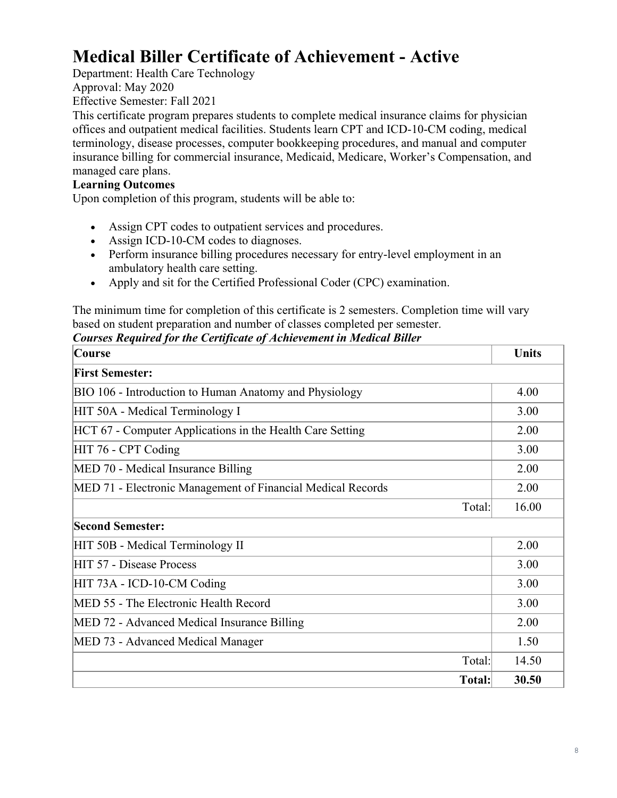# **Medical Biller Certificate of Achievement - Active**

Department: Health Care Technology Approval: May 2020 Effective Semester: Fall 2021

This certificate program prepares students to complete medical insurance claims for physician offices and outpatient medical facilities. Students learn CPT and ICD-10-CM coding, medical terminology, disease processes, computer bookkeeping procedures, and manual and computer insurance billing for commercial insurance, Medicaid, Medicare, Worker's Compensation, and managed care plans.

# **Learning Outcomes**

Upon completion of this program, students will be able to:

- Assign CPT codes to outpatient services and procedures.
- Assign ICD-10-CM codes to diagnoses.
- Perform insurance billing procedures necessary for entry-level employment in an ambulatory health care setting.
- Apply and sit for the Certified Professional Coder (CPC) examination.

The minimum time for completion of this certificate is 2 semesters. Completion time will vary based on student preparation and number of classes completed per semester.

| Courses Required for the Certificate of Achievement in Medical Biller |
|-----------------------------------------------------------------------|
|-----------------------------------------------------------------------|

| <b>Course</b>                                               | <b>Units</b> |
|-------------------------------------------------------------|--------------|
| <b>First Semester:</b>                                      |              |
| BIO 106 - Introduction to Human Anatomy and Physiology      | 4.00         |
| HIT 50A - Medical Terminology I                             | 3.00         |
| HCT 67 - Computer Applications in the Health Care Setting   | 2.00         |
| HIT 76 - CPT Coding                                         | 3.00         |
| MED 70 - Medical Insurance Billing                          | 2.00         |
| MED 71 - Electronic Management of Financial Medical Records | 2.00         |
| Total:                                                      | 16.00        |
| <b>Second Semester:</b>                                     |              |
| HIT 50B - Medical Terminology II                            | 2.00         |
| HIT 57 - Disease Process                                    | 3.00         |
| HIT 73A - ICD-10-CM Coding                                  | 3.00         |
| MED 55 - The Electronic Health Record                       | 3.00         |
| MED 72 - Advanced Medical Insurance Billing                 | 2.00         |
| MED 73 - Advanced Medical Manager                           | 1.50         |
| Total:                                                      | 14.50        |
| Total:                                                      | 30.50        |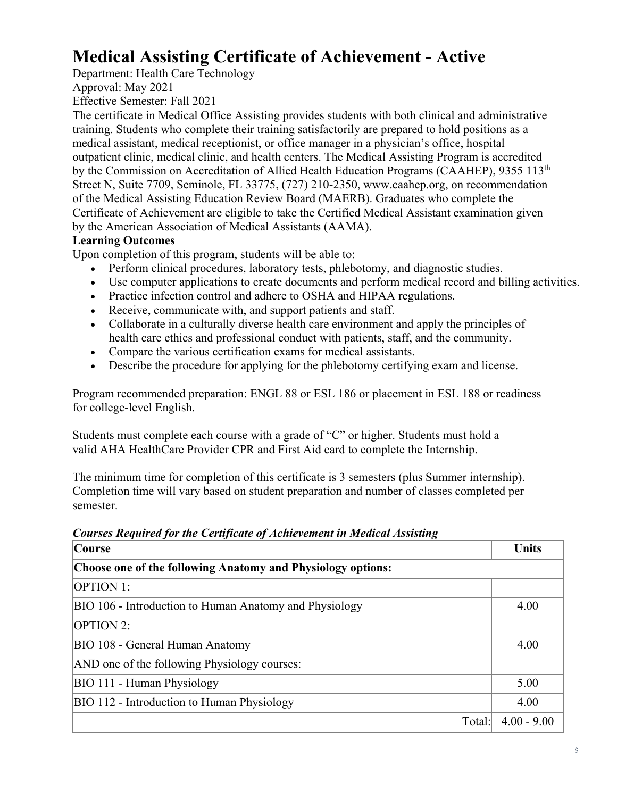# **Medical Assisting Certificate of Achievement - Active**

Department: Health Care Technology

Approval: May 2021 Effective Semester: Fall 2021

The certificate in Medical Office Assisting provides students with both clinical and administrative training. Students who complete their training satisfactorily are prepared to hold positions as a medical assistant, medical receptionist, or office manager in a physician's office, hospital outpatient clinic, medical clinic, and health centers. The Medical Assisting Program is accredited by the Commission on Accreditation of Allied Health Education Programs (CAAHEP), 9355 113<sup>th</sup> Street N, Suite 7709, Seminole, FL 33775, (727) 210-2350, www.caahep.org, on recommendation of the Medical Assisting Education Review Board (MAERB). Graduates who complete the Certificate of Achievement are eligible to take the Certified Medical Assistant examination given by the American Association of Medical Assistants (AAMA).

# **Learning Outcomes**

Upon completion of this program, students will be able to:

- Perform clinical procedures, laboratory tests, phlebotomy, and diagnostic studies.
- Use computer applications to create documents and perform medical record and billing activities.
- Practice infection control and adhere to OSHA and HIPAA regulations.
- Receive, communicate with, and support patients and staff.
- Collaborate in a culturally diverse health care environment and apply the principles of health care ethics and professional conduct with patients, staff, and the community.
- Compare the various certification exams for medical assistants.
- Describe the procedure for applying for the phlebotomy certifying exam and license.

Program recommended preparation: ENGL 88 or ESL 186 or placement in ESL 188 or readiness for college-level English.

Students must complete each course with a grade of "C" or higher. Students must hold a valid AHA HealthCare Provider CPR and First Aid card to complete the Internship.

The minimum time for completion of this certificate is 3 semesters (plus Summer internship). Completion time will vary based on student preparation and number of classes completed per semester.

| <b>Course</b>                                               | <b>Units</b>  |
|-------------------------------------------------------------|---------------|
| Choose one of the following Anatomy and Physiology options: |               |
| <b>OPTION 1:</b>                                            |               |
| BIO 106 - Introduction to Human Anatomy and Physiology      | 4.00          |
| <b>OPTION 2:</b>                                            |               |
| BIO 108 - General Human Anatomy                             | 4.00          |
| AND one of the following Physiology courses:                |               |
| BIO 111 - Human Physiology                                  | 5.00          |
| BIO 112 - Introduction to Human Physiology                  | 4.00          |
| Total:                                                      | $4.00 - 9.00$ |

*Courses Required for the Certificate of Achievement in Medical Assisting*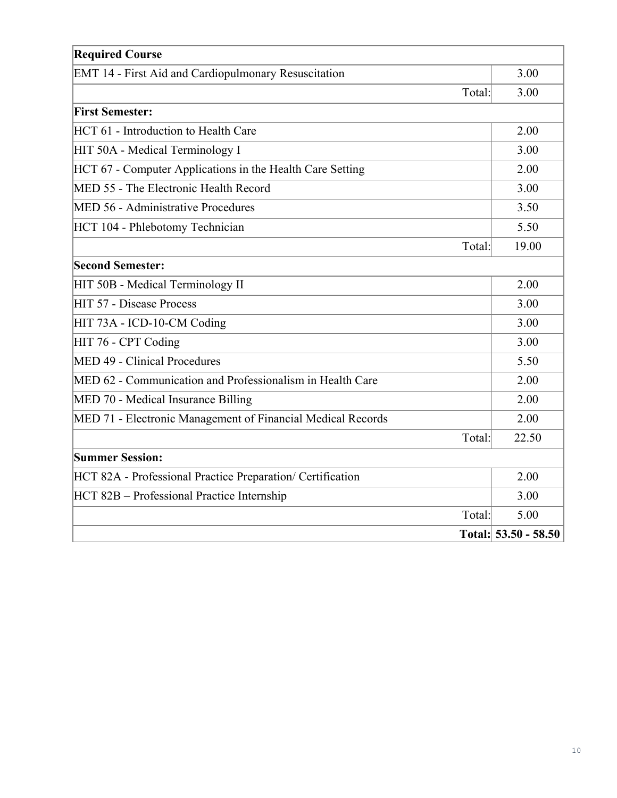| <b>Required Course</b>                                      |                        |
|-------------------------------------------------------------|------------------------|
| EMT 14 - First Aid and Cardiopulmonary Resuscitation        | 3.00                   |
| Total:                                                      | 3.00                   |
| <b>First Semester:</b>                                      |                        |
| HCT 61 - Introduction to Health Care                        | 2.00                   |
| HIT 50A - Medical Terminology I                             | 3.00                   |
| HCT 67 - Computer Applications in the Health Care Setting   | 2.00                   |
| MED 55 - The Electronic Health Record                       | 3.00                   |
| MED 56 - Administrative Procedures                          | 3.50                   |
| HCT 104 - Phlebotomy Technician                             | 5.50                   |
| Total:                                                      | 19.00                  |
| <b>Second Semester:</b>                                     |                        |
| HIT 50B - Medical Terminology II                            | 2.00                   |
| HIT 57 - Disease Process                                    | 3.00                   |
| HIT 73A - ICD-10-CM Coding                                  | 3.00                   |
| HIT 76 - CPT Coding                                         | 3.00                   |
| MED 49 - Clinical Procedures                                | 5.50                   |
| MED 62 - Communication and Professionalism in Health Care   | 2.00                   |
| MED 70 - Medical Insurance Billing                          | 2.00                   |
| MED 71 - Electronic Management of Financial Medical Records | 2.00                   |
| Total:                                                      | 22.50                  |
| <b>Summer Session:</b>                                      |                        |
| HCT 82A - Professional Practice Preparation/ Certification  | 2.00                   |
| HCT 82B - Professional Practice Internship                  | 3.00                   |
| Total:                                                      | 5.00                   |
|                                                             | Total: $53.50 - 58.50$ |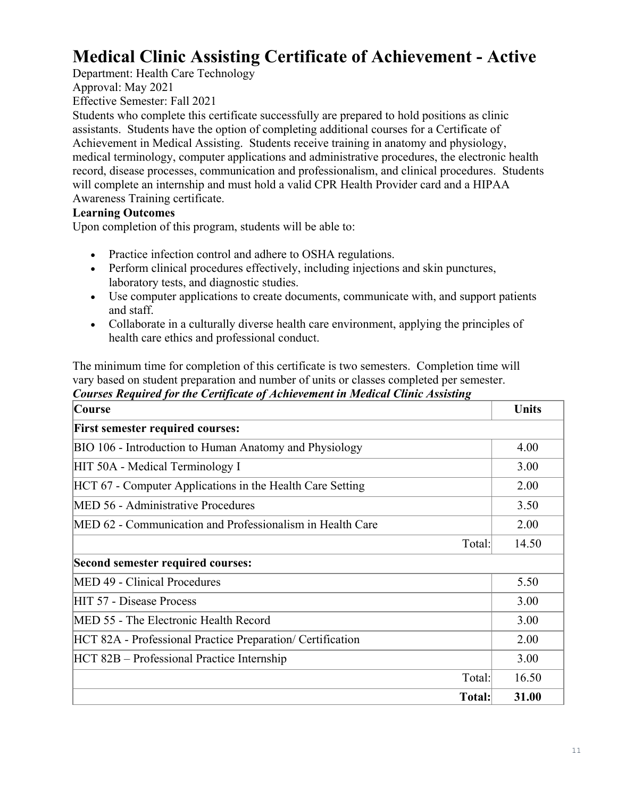# **Medical Clinic Assisting Certificate of Achievement - Active**

Department: Health Care Technology Approval: May 2021 Effective Semester: Fall 2021

Students who complete this certificate successfully are prepared to hold positions as clinic assistants. Students have the option of completing additional courses for a Certificate of Achievement in Medical Assisting. Students receive training in anatomy and physiology, medical terminology, computer applications and administrative procedures, the electronic health record, disease processes, communication and professionalism, and clinical procedures. Students will complete an internship and must hold a valid CPR Health Provider card and a HIPAA Awareness Training certificate.

### **Learning Outcomes**

Upon completion of this program, students will be able to:

- Practice infection control and adhere to OSHA regulations.
- Perform clinical procedures effectively, including injections and skin punctures, laboratory tests, and diagnostic studies.
- Use computer applications to create documents, communicate with, and support patients and staff.
- Collaborate in a culturally diverse health care environment, applying the principles of health care ethics and professional conduct.

The minimum time for completion of this certificate is two semesters. Completion time will vary based on student preparation and number of units or classes completed per semester. *Courses Required for the Certificate of Achievement in Medical Clinic Assisting*

| <b>Course</b>                                              | <b>Units</b> |
|------------------------------------------------------------|--------------|
| <b>First semester required courses:</b>                    |              |
| BIO 106 - Introduction to Human Anatomy and Physiology     | 4.00         |
| HIT 50A - Medical Terminology I                            | 3.00         |
| HCT 67 - Computer Applications in the Health Care Setting  | 2.00         |
| MED 56 - Administrative Procedures                         | 3.50         |
| MED 62 - Communication and Professionalism in Health Care  | 2.00         |
| Total:                                                     | 14.50        |
| Second semester required courses:                          |              |
| MED 49 - Clinical Procedures                               | 5.50         |
| HIT 57 - Disease Process                                   | 3.00         |
| MED 55 - The Electronic Health Record                      | 3.00         |
| HCT 82A - Professional Practice Preparation/ Certification | 2.00         |
| HCT 82B – Professional Practice Internship                 | 3.00         |
| Total:                                                     | 16.50        |
| Total:                                                     | 31.00        |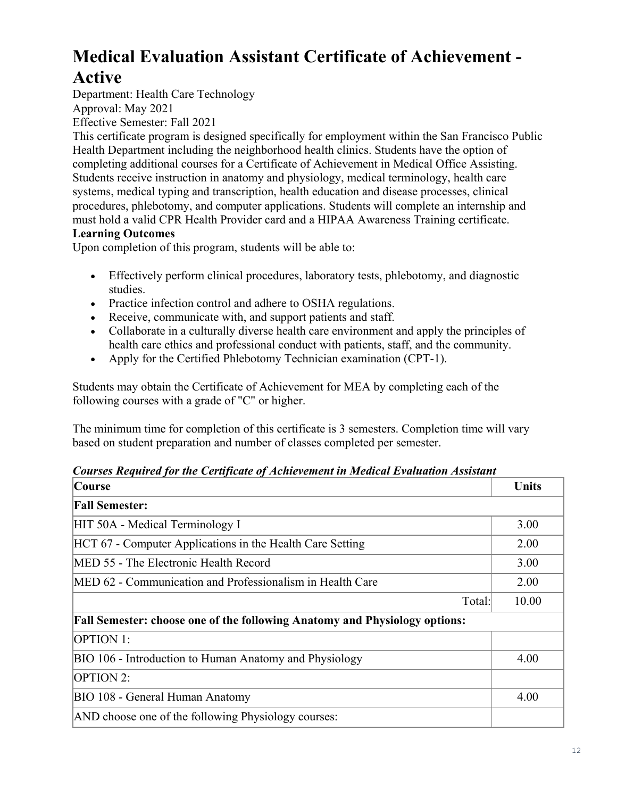# **Medical Evaluation Assistant Certificate of Achievement - Active**

Department: Health Care Technology

Approval: May 2021

Effective Semester: Fall 2021

This certificate program is designed specifically for employment within the San Francisco Public Health Department including the neighborhood health clinics. Students have the option of completing additional courses for a Certificate of Achievement in Medical Office Assisting. Students receive instruction in anatomy and physiology, medical terminology, health care systems, medical typing and transcription, health education and disease processes, clinical procedures, phlebotomy, and computer applications. Students will complete an internship and must hold a valid CPR Health Provider card and a HIPAA Awareness Training certificate.

# **Learning Outcomes**

Upon completion of this program, students will be able to:

- Effectively perform clinical procedures, laboratory tests, phlebotomy, and diagnostic studies.
- Practice infection control and adhere to OSHA regulations.
- Receive, communicate with, and support patients and staff.
- Collaborate in a culturally diverse health care environment and apply the principles of health care ethics and professional conduct with patients, staff, and the community.
- Apply for the Certified Phlebotomy Technician examination (CPT-1).

Students may obtain the Certificate of Achievement for MEA by completing each of the following courses with a grade of "C" or higher.

The minimum time for completion of this certificate is 3 semesters. Completion time will vary based on student preparation and number of classes completed per semester.

# *Courses Required for the Certificate of Achievement in Medical Evaluation Assistant*

| <b>Course</b>                                                                     | <b>Units</b> |
|-----------------------------------------------------------------------------------|--------------|
| <b>Fall Semester:</b>                                                             |              |
| HIT 50A - Medical Terminology I                                                   | 3.00         |
| HCT 67 - Computer Applications in the Health Care Setting                         | 2.00         |
| MED 55 - The Electronic Health Record                                             | 3.00         |
| MED 62 - Communication and Professionalism in Health Care                         | 2.00         |
| Total:                                                                            | 10.00        |
| <b>Fall Semester: choose one of the following Anatomy and Physiology options:</b> |              |
| <b>OPTION 1:</b>                                                                  |              |
| BIO 106 - Introduction to Human Anatomy and Physiology                            | 4.00         |
| <b>OPTION 2:</b>                                                                  |              |
| BIO 108 - General Human Anatomy                                                   | 4.00         |
| AND choose one of the following Physiology courses:                               |              |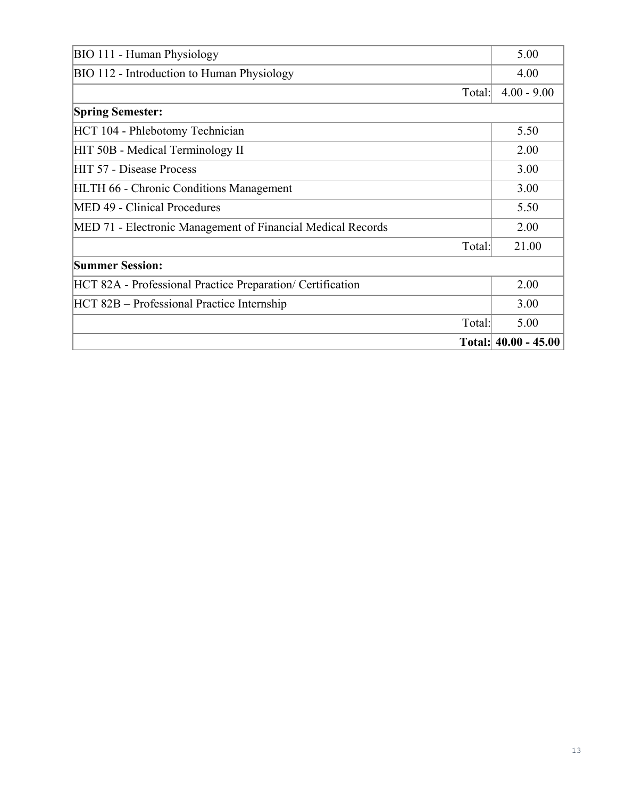| BIO 111 - Human Physiology                                  | 5.00                     |
|-------------------------------------------------------------|--------------------------|
| BIO 112 - Introduction to Human Physiology                  | 4.00                     |
| Total:                                                      | $4.00 - 9.00$            |
| <b>Spring Semester:</b>                                     |                          |
| HCT 104 - Phlebotomy Technician                             | 5.50                     |
| HIT 50B - Medical Terminology II                            | 2.00                     |
| HIT 57 - Disease Process                                    | 3.00                     |
| <b>HLTH 66 - Chronic Conditions Management</b>              | 3.00                     |
| MED 49 - Clinical Procedures                                | 5.50                     |
| MED 71 - Electronic Management of Financial Medical Records | 2.00                     |
| Total:                                                      | 21.00                    |
| <b>Summer Session:</b>                                      |                          |
| HCT 82A - Professional Practice Preparation/ Certification  | 2.00                     |
| HCT 82B – Professional Practice Internship                  | 3.00                     |
| Total:                                                      | 5.00                     |
|                                                             | Total: $ 40.00 - 45.00 $ |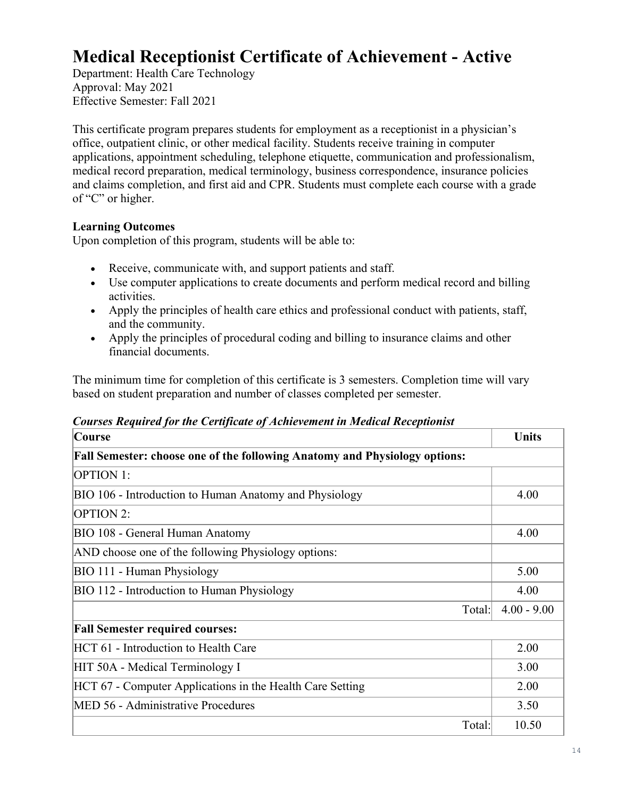# **Medical Receptionist Certificate of Achievement - Active**

Department: Health Care Technology Approval: May 2021 Effective Semester: Fall 2021

This certificate program prepares students for employment as a receptionist in a physician's office, outpatient clinic, or other medical facility. Students receive training in computer applications, appointment scheduling, telephone etiquette, communication and professionalism, medical record preparation, medical terminology, business correspondence, insurance policies and claims completion, and first aid and CPR. Students must complete each course with a grade of "C" or higher.

# **Learning Outcomes**

Upon completion of this program, students will be able to:

- Receive, communicate with, and support patients and staff.
- Use computer applications to create documents and perform medical record and billing activities.
- Apply the principles of health care ethics and professional conduct with patients, staff, and the community.
- Apply the principles of procedural coding and billing to insurance claims and other financial documents.

The minimum time for completion of this certificate is 3 semesters. Completion time will vary based on student preparation and number of classes completed per semester.

| <b>Course</b>                                                                     | <b>Units</b>  |
|-----------------------------------------------------------------------------------|---------------|
| <b>Fall Semester: choose one of the following Anatomy and Physiology options:</b> |               |
| <b>OPTION 1:</b>                                                                  |               |
| BIO 106 - Introduction to Human Anatomy and Physiology                            | 4.00          |
| OPTION 2:                                                                         |               |
| BIO 108 - General Human Anatomy                                                   | 4.00          |
| AND choose one of the following Physiology options:                               |               |
| BIO 111 - Human Physiology                                                        | 5.00          |
| BIO 112 - Introduction to Human Physiology                                        | 4.00          |
| Total:                                                                            | $4.00 - 9.00$ |
| <b>Fall Semester required courses:</b>                                            |               |
| HCT 61 - Introduction to Health Care                                              | 2.00          |
| HIT 50A - Medical Terminology I                                                   | 3.00          |
| HCT 67 - Computer Applications in the Health Care Setting                         | 2.00          |
| MED 56 - Administrative Procedures                                                | 3.50          |
| Total:                                                                            | 10.50         |

## *Courses Required for the Certificate of Achievement in Medical Receptionist*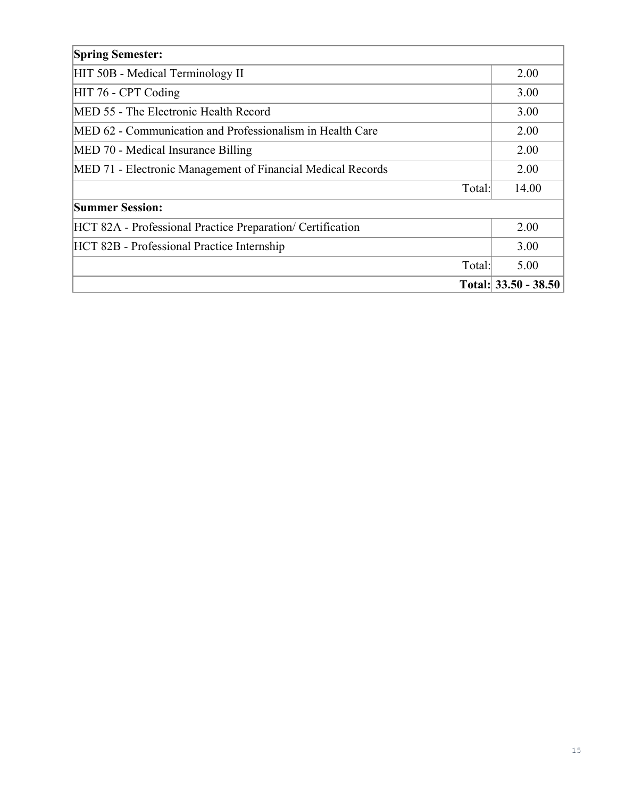| <b>Spring Semester:</b>                                     |                      |
|-------------------------------------------------------------|----------------------|
| HIT 50B - Medical Terminology II                            | 2.00                 |
| HIT 76 - CPT Coding                                         | 3.00                 |
| MED 55 - The Electronic Health Record                       | 3.00                 |
| MED 62 - Communication and Professionalism in Health Care   | 2.00                 |
| MED 70 - Medical Insurance Billing                          | 2.00                 |
| MED 71 - Electronic Management of Financial Medical Records | 2.00                 |
| Total:                                                      | 14.00                |
| <b>Summer Session:</b>                                      |                      |
| HCT 82A - Professional Practice Preparation/ Certification  | 2.00                 |
| HCT 82B - Professional Practice Internship                  | 3.00                 |
| Total:                                                      | 5.00                 |
|                                                             | Total: 33.50 - 38.50 |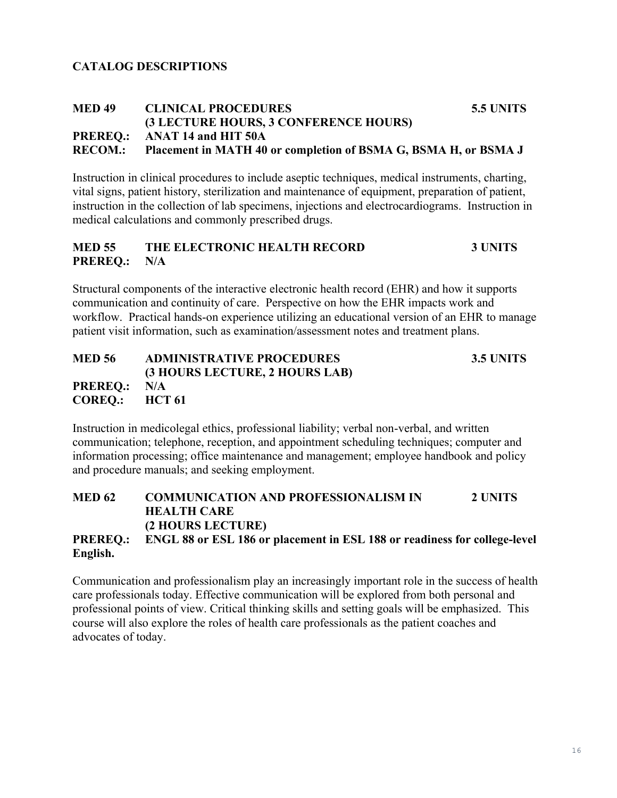## **CATALOG DESCRIPTIONS**

#### **MED 49 CLINICAL PROCEDURES 5.5 UNITS (3 LECTURE HOURS, 3 CONFERENCE HOURS) PREREQ.: ANAT 14 and HIT 50A RECOM.: Placement in MATH 40 or completion of BSMA G, BSMA H, or BSMA J**

Instruction in clinical procedures to include aseptic techniques, medical instruments, charting, vital signs, patient history, sterilization and maintenance of equipment, preparation of patient, instruction in the collection of lab specimens, injections and electrocardiograms. Instruction in medical calculations and commonly prescribed drugs.

#### **MED 55 THE ELECTRONIC HEALTH RECORD 3 UNITS PREREQ.: N/A**

Structural components of the interactive electronic health record (EHR) and how it supports communication and continuity of care. Perspective on how the EHR impacts work and workflow. Practical hands-on experience utilizing an educational version of an EHR to manage patient visit information, such as examination/assessment notes and treatment plans.

# **MED 56 ADMINISTRATIVE PROCEDURES 3.5 UNITS (3 HOURS LECTURE, 2 HOURS LAB) PREREQ.: N/A COREQ.: HCT 61**

Instruction in medicolegal ethics, professional liability; verbal non-verbal, and written communication; telephone, reception, and appointment scheduling techniques; computer and information processing; office maintenance and management; employee handbook and policy and procedure manuals; and seeking employment.

**MED 62 COMMUNICATION AND PROFESSIONALISM IN 2 UNITS HEALTH CARE (2 HOURS LECTURE) PREREQ.: ENGL 88 or ESL 186 or placement in ESL 188 or readiness for college-level English.**

Communication and professionalism play an increasingly important role in the success of health care professionals today. Effective communication will be explored from both personal and professional points of view. Critical thinking skills and setting goals will be emphasized. This course will also explore the roles of health care professionals as the patient coaches and advocates of today.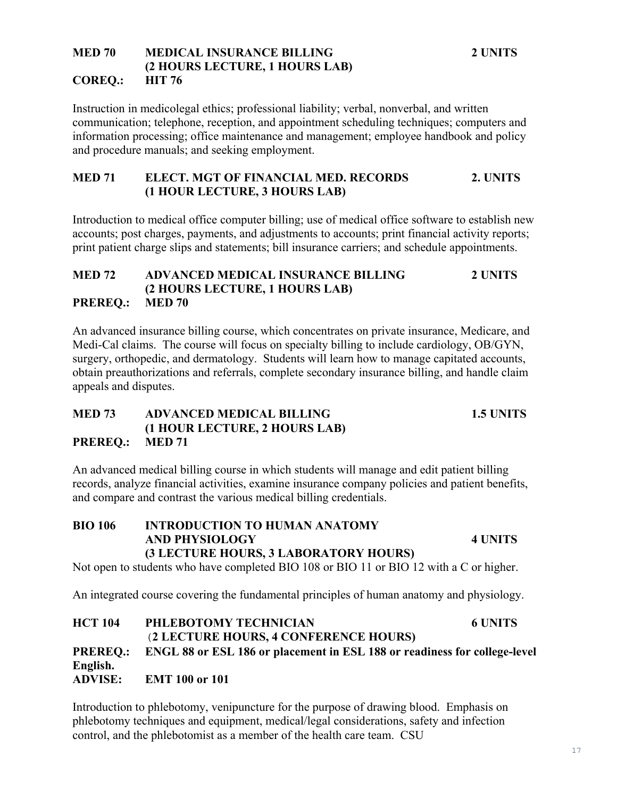### **MED 70 MEDICAL INSURANCE BILLING 2 UNITS (2 HOURS LECTURE, 1 HOURS LAB) COREQ.: HIT 76**

Instruction in medicolegal ethics; professional liability; verbal, nonverbal, and written communication; telephone, reception, and appointment scheduling techniques; computers and information processing; office maintenance and management; employee handbook and policy and procedure manuals; and seeking employment.

### **MED 71 ELECT. MGT OF FINANCIAL MED. RECORDS 2. UNITS (1 HOUR LECTURE, 3 HOURS LAB)**

Introduction to medical office computer billing; use of medical office software to establish new accounts; post charges, payments, and adjustments to accounts; print financial activity reports; print patient charge slips and statements; bill insurance carriers; and schedule appointments.

## **MED 72 ADVANCED MEDICAL INSURANCE BILLING 2 UNITS (2 HOURS LECTURE, 1 HOURS LAB) PREREQ.: MED 70**

An advanced insurance billing course, which concentrates on private insurance, Medicare, and Medi-Cal claims. The course will focus on specialty billing to include cardiology, OB/GYN, surgery, orthopedic, and dermatology. Students will learn how to manage capitated accounts, obtain preauthorizations and referrals, complete secondary insurance billing, and handle claim appeals and disputes.

## **MED 73 ADVANCED MEDICAL BILLING 1.5 UNITS (1 HOUR LECTURE, 2 HOURS LAB) PREREQ.: MED 71**

An advanced medical billing course in which students will manage and edit patient billing records, analyze financial activities, examine insurance company policies and patient benefits, and compare and contrast the various medical billing credentials.

# **BIO 106 INTRODUCTION TO HUMAN ANATOMY AND PHYSIOLOGY 4 UNITS (3 LECTURE HOURS, 3 LABORATORY HOURS)**

Not open to students who have completed BIO 108 or BIO 11 or BIO 12 with a C or higher.

An integrated course covering the fundamental principles of human anatomy and physiology.

**HCT 104 PHLEBOTOMY TECHNICIAN 6 UNITS** (**2 LECTURE HOURS, 4 CONFERENCE HOURS) PREREQ.: ENGL 88 or ESL 186 or placement in ESL 188 or readiness for college-level English. ADVISE: EMT 100 or 101**

Introduction to phlebotomy, venipuncture for the purpose of drawing blood. Emphasis on phlebotomy techniques and equipment, medical/legal considerations, safety and infection control, and the phlebotomist as a member of the health care team. CSU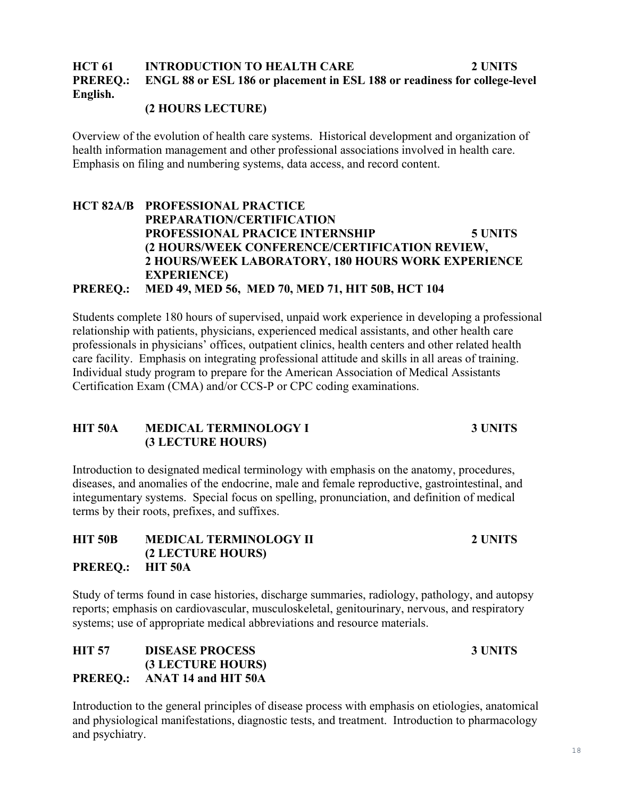# **HCT 61 INTRODUCTION TO HEALTH CARE 2 UNITS PREREQ.: ENGL 88 or ESL 186 or placement in ESL 188 or readiness for college-level English.**

## **(2 HOURS LECTURE)**

Overview of the evolution of health care systems. Historical development and organization of health information management and other professional associations involved in health care. Emphasis on filing and numbering systems, data access, and record content.

# **HCT 82A/B PROFESSIONAL PRACTICE PREPARATION/CERTIFICATION PROFESSIONAL PRACICE INTERNSHIP 5 UNITS (2 HOURS/WEEK CONFERENCE/CERTIFICATION REVIEW, 2 HOURS/WEEK LABORATORY, 180 HOURS WORK EXPERIENCE EXPERIENCE)**

**PREREQ.: MED 49, MED 56, MED 70, MED 71, HIT 50B, HCT 104**

Students complete 180 hours of supervised, unpaid work experience in developing a professional relationship with patients, physicians, experienced medical assistants, and other health care professionals in physicians' offices, outpatient clinics, health centers and other related health care facility. Emphasis on integrating professional attitude and skills in all areas of training. Individual study program to prepare for the American Association of Medical Assistants Certification Exam (CMA) and/or CCS-P or CPC coding examinations.

# **HIT 50A MEDICAL TERMINOLOGY I 3 UNITS (3 LECTURE HOURS)**

Introduction to designated medical terminology with emphasis on the anatomy, procedures, diseases, and anomalies of the endocrine, male and female reproductive, gastrointestinal, and integumentary systems. Special focus on spelling, pronunciation, and definition of medical terms by their roots, prefixes, and suffixes.

**HIT 50B MEDICAL TERMINOLOGY II 2 UNITS (2 LECTURE HOURS) PREREQ.: HIT 50A**

Study of terms found in case histories, discharge summaries, radiology, pathology, and autopsy reports; emphasis on cardiovascular, musculoskeletal, genitourinary, nervous, and respiratory systems; use of appropriate medical abbreviations and resource materials.

# **HIT 57 DISEASE PROCESS 3 UNITS (3 LECTURE HOURS) PREREQ.: ANAT 14 and HIT 50A**

Introduction to the general principles of disease process with emphasis on etiologies, anatomical and physiological manifestations, diagnostic tests, and treatment. Introduction to pharmacology and psychiatry.